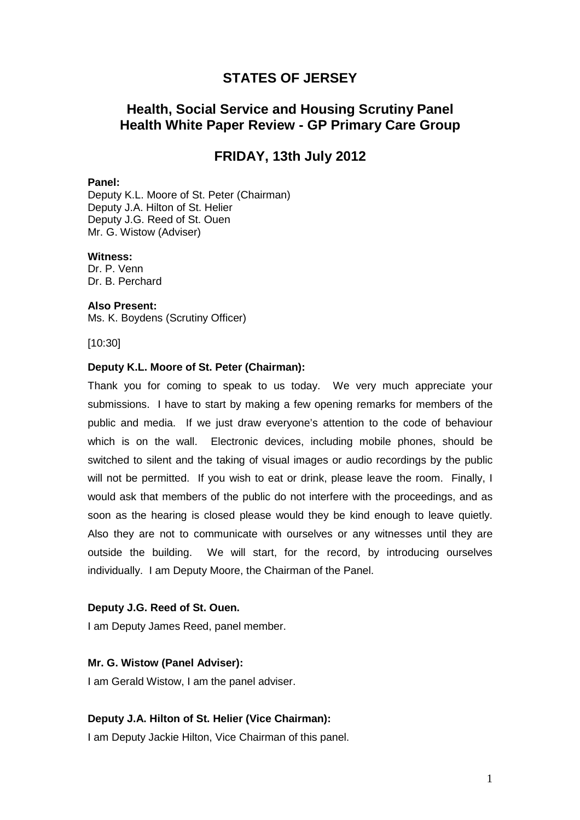# **STATES OF JERSEY**

# **Health, Social Service and Housing Scrutiny Panel Health White Paper Review - GP Primary Care Group**

# **FRIDAY, 13th July 2012**

#### **Panel:**

Deputy K.L. Moore of St. Peter (Chairman) Deputy J.A. Hilton of St. Helier Deputy J.G. Reed of St. Ouen Mr. G. Wistow (Adviser)

#### **Witness:**

Dr. P. Venn Dr. B. Perchard

#### **Also Present:**

Ms. K. Boydens (Scrutiny Officer)

[10:30]

### **Deputy K.L. Moore of St. Peter (Chairman):**

Thank you for coming to speak to us today. We very much appreciate your submissions. I have to start by making a few opening remarks for members of the public and media. If we just draw everyone's attention to the code of behaviour which is on the wall. Electronic devices, including mobile phones, should be switched to silent and the taking of visual images or audio recordings by the public will not be permitted. If you wish to eat or drink, please leave the room. Finally, I would ask that members of the public do not interfere with the proceedings, and as soon as the hearing is closed please would they be kind enough to leave quietly. Also they are not to communicate with ourselves or any witnesses until they are outside the building. We will start, for the record, by introducing ourselves individually. I am Deputy Moore, the Chairman of the Panel.

#### **Deputy J.G. Reed of St. Ouen.**

I am Deputy James Reed, panel member.

### **Mr. G. Wistow (Panel Adviser):**

I am Gerald Wistow, I am the panel adviser.

#### **Deputy J.A. Hilton of St. Helier (Vice Chairman):**

I am Deputy Jackie Hilton, Vice Chairman of this panel.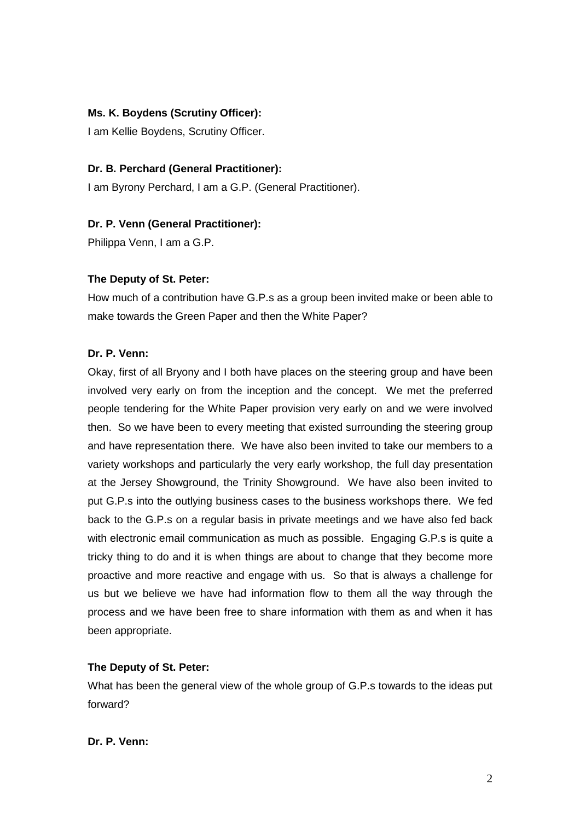### **Ms. K. Boydens (Scrutiny Officer):**

I am Kellie Boydens, Scrutiny Officer.

#### **Dr. B. Perchard (General Practitioner):**

I am Byrony Perchard, I am a G.P. (General Practitioner).

#### **Dr. P. Venn (General Practitioner):**

Philippa Venn, I am a G.P.

#### **The Deputy of St. Peter:**

How much of a contribution have G.P.s as a group been invited make or been able to make towards the Green Paper and then the White Paper?

#### **Dr. P. Venn:**

Okay, first of all Bryony and I both have places on the steering group and have been involved very early on from the inception and the concept. We met the preferred people tendering for the White Paper provision very early on and we were involved then. So we have been to every meeting that existed surrounding the steering group and have representation there. We have also been invited to take our members to a variety workshops and particularly the very early workshop, the full day presentation at the Jersey Showground, the Trinity Showground. We have also been invited to put G.P.s into the outlying business cases to the business workshops there. We fed back to the G.P.s on a regular basis in private meetings and we have also fed back with electronic email communication as much as possible. Engaging G.P.s is quite a tricky thing to do and it is when things are about to change that they become more proactive and more reactive and engage with us. So that is always a challenge for us but we believe we have had information flow to them all the way through the process and we have been free to share information with them as and when it has been appropriate.

### **The Deputy of St. Peter:**

What has been the general view of the whole group of G.P.s towards to the ideas put forward?

#### **Dr. P. Venn:**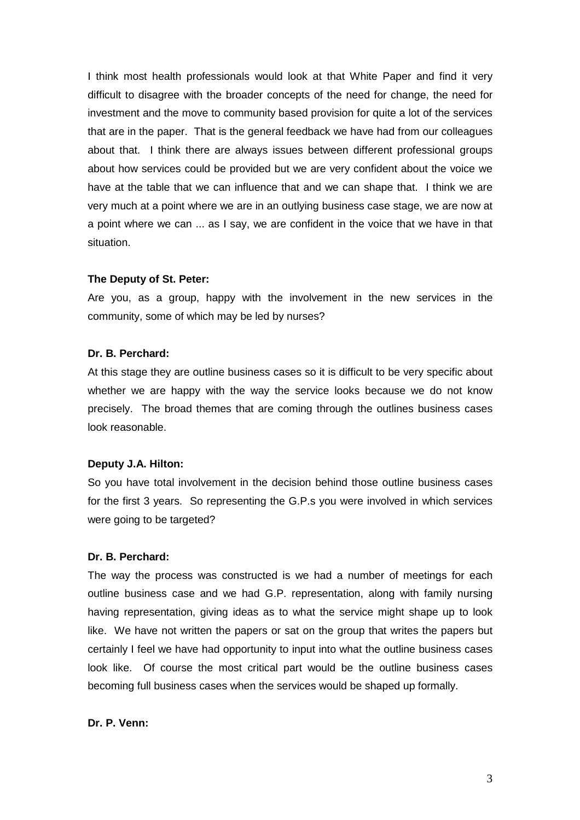I think most health professionals would look at that White Paper and find it very difficult to disagree with the broader concepts of the need for change, the need for investment and the move to community based provision for quite a lot of the services that are in the paper. That is the general feedback we have had from our colleagues about that. I think there are always issues between different professional groups about how services could be provided but we are very confident about the voice we have at the table that we can influence that and we can shape that. I think we are very much at a point where we are in an outlying business case stage, we are now at a point where we can ... as I say, we are confident in the voice that we have in that situation.

#### **The Deputy of St. Peter:**

Are you, as a group, happy with the involvement in the new services in the community, some of which may be led by nurses?

#### **Dr. B. Perchard:**

At this stage they are outline business cases so it is difficult to be very specific about whether we are happy with the way the service looks because we do not know precisely. The broad themes that are coming through the outlines business cases look reasonable.

### **Deputy J.A. Hilton:**

So you have total involvement in the decision behind those outline business cases for the first 3 years. So representing the G.P.s you were involved in which services were going to be targeted?

#### **Dr. B. Perchard:**

The way the process was constructed is we had a number of meetings for each outline business case and we had G.P. representation, along with family nursing having representation, giving ideas as to what the service might shape up to look like. We have not written the papers or sat on the group that writes the papers but certainly I feel we have had opportunity to input into what the outline business cases look like. Of course the most critical part would be the outline business cases becoming full business cases when the services would be shaped up formally.

### **Dr. P. Venn:**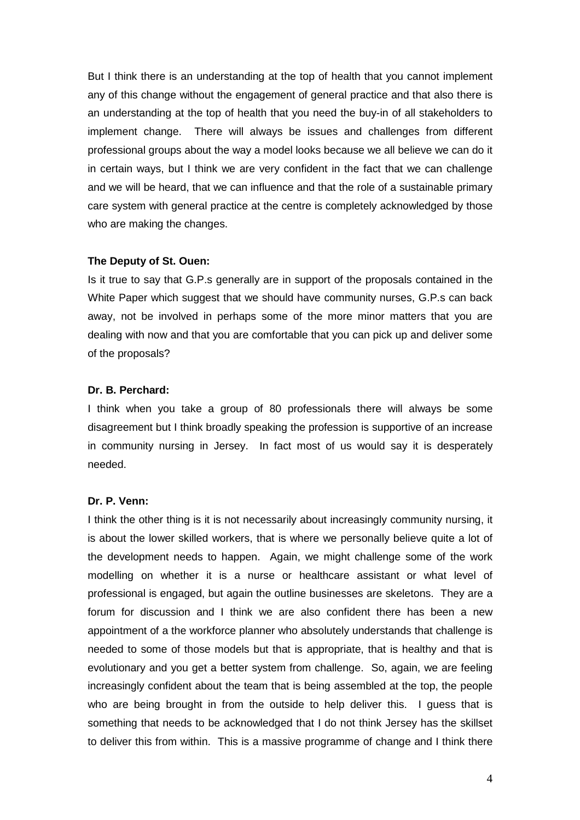But I think there is an understanding at the top of health that you cannot implement any of this change without the engagement of general practice and that also there is an understanding at the top of health that you need the buy-in of all stakeholders to implement change. There will always be issues and challenges from different professional groups about the way a model looks because we all believe we can do it in certain ways, but I think we are very confident in the fact that we can challenge and we will be heard, that we can influence and that the role of a sustainable primary care system with general practice at the centre is completely acknowledged by those who are making the changes.

#### **The Deputy of St. Ouen:**

Is it true to say that G.P.s generally are in support of the proposals contained in the White Paper which suggest that we should have community nurses, G.P.s can back away, not be involved in perhaps some of the more minor matters that you are dealing with now and that you are comfortable that you can pick up and deliver some of the proposals?

#### **Dr. B. Perchard:**

I think when you take a group of 80 professionals there will always be some disagreement but I think broadly speaking the profession is supportive of an increase in community nursing in Jersey. In fact most of us would say it is desperately needed.

#### **Dr. P. Venn:**

I think the other thing is it is not necessarily about increasingly community nursing, it is about the lower skilled workers, that is where we personally believe quite a lot of the development needs to happen. Again, we might challenge some of the work modelling on whether it is a nurse or healthcare assistant or what level of professional is engaged, but again the outline businesses are skeletons. They are a forum for discussion and I think we are also confident there has been a new appointment of a the workforce planner who absolutely understands that challenge is needed to some of those models but that is appropriate, that is healthy and that is evolutionary and you get a better system from challenge. So, again, we are feeling increasingly confident about the team that is being assembled at the top, the people who are being brought in from the outside to help deliver this. I guess that is something that needs to be acknowledged that I do not think Jersey has the skillset to deliver this from within. This is a massive programme of change and I think there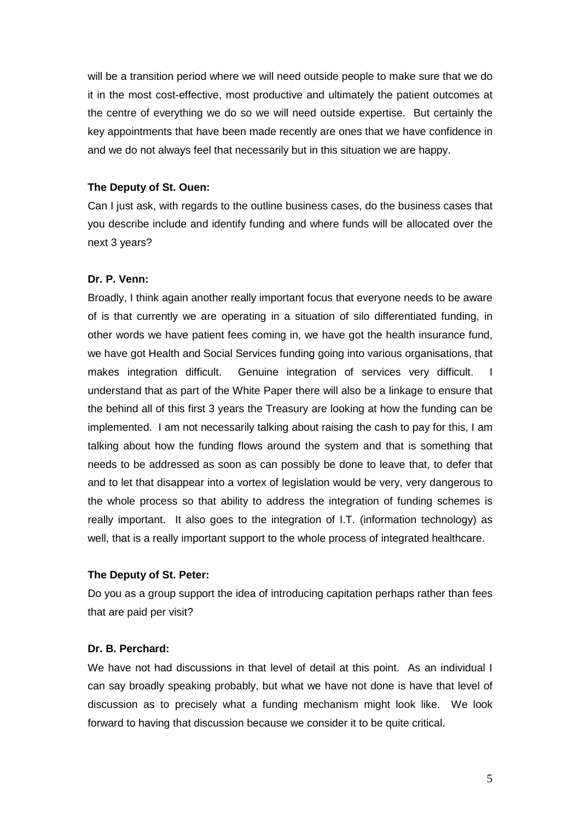will be a transition period where we will need outside people to make sure that we do it in the most cost-effective, most productive and ultimately the patient outcomes at the centre of everything we do so we will need outside expertise. But certainly the key appointments that have been made recently are ones that we have confidence in and we do not always feel that necessarily but in this situation we are happy.

#### **The Deputy of St. Ouen:**

Can I just ask, with regards to the outline business cases, do the business cases that you describe include and identify funding and where funds will be allocated over the next 3 years?

#### **Dr. P. Venn:**

Broadly, I think again another really important focus that everyone needs to be aware of is that currently we are operating in a situation of silo differentiated funding, in other words we have patient fees coming in, we have got the health insurance fund, we have got Health and Social Services funding going into various organisations, that makes integration difficult. Genuine integration of services very difficult. I understand that as part of the White Paper there will also be a linkage to ensure that the behind all of this first 3 years the Treasury are looking at how the funding can be implemented. I am not necessarily talking about raising the cash to pay for this, I am talking about how the funding flows around the system and that is something that needs to be addressed as soon as can possibly be done to leave that, to defer that and to let that disappear into a vortex of legislation would be very, very dangerous to the whole process so that ability to address the integration of funding schemes is really important. It also goes to the integration of I.T. (information technology) as well, that is a really important support to the whole process of integrated healthcare.

#### **The Deputy of St. Peter:**

Do you as a group support the idea of introducing capitation perhaps rather than fees that are paid per visit?

#### **Dr. B. Perchard:**

We have not had discussions in that level of detail at this point. As an individual I can say broadly speaking probably, but what we have not done is have that level of discussion as to precisely what a funding mechanism might look like. We look forward to having that discussion because we consider it to be quite critical.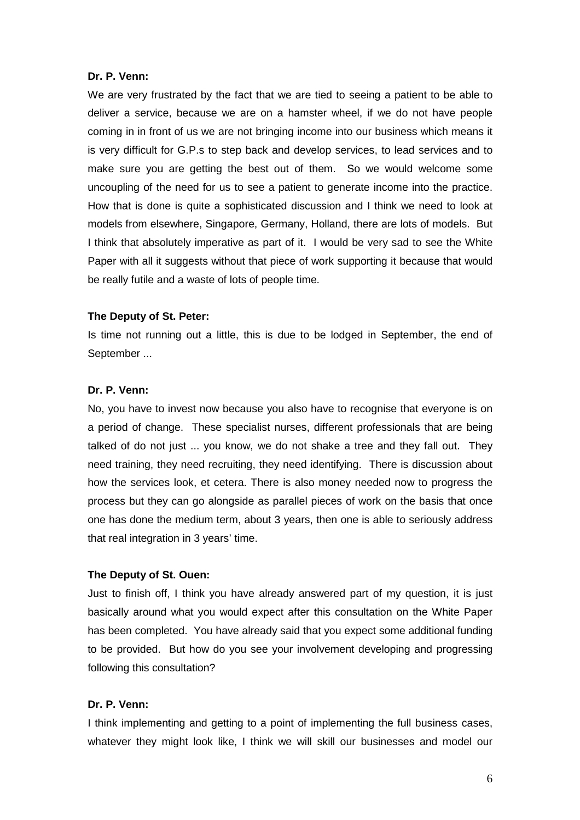#### **Dr. P. Venn:**

We are very frustrated by the fact that we are tied to seeing a patient to be able to deliver a service, because we are on a hamster wheel, if we do not have people coming in in front of us we are not bringing income into our business which means it is very difficult for G.P.s to step back and develop services, to lead services and to make sure you are getting the best out of them. So we would welcome some uncoupling of the need for us to see a patient to generate income into the practice. How that is done is quite a sophisticated discussion and I think we need to look at models from elsewhere, Singapore, Germany, Holland, there are lots of models. But I think that absolutely imperative as part of it. I would be very sad to see the White Paper with all it suggests without that piece of work supporting it because that would be really futile and a waste of lots of people time.

#### **The Deputy of St. Peter:**

Is time not running out a little, this is due to be lodged in September, the end of September ...

#### **Dr. P. Venn:**

No, you have to invest now because you also have to recognise that everyone is on a period of change. These specialist nurses, different professionals that are being talked of do not just ... you know, we do not shake a tree and they fall out. They need training, they need recruiting, they need identifying. There is discussion about how the services look, et cetera. There is also money needed now to progress the process but they can go alongside as parallel pieces of work on the basis that once one has done the medium term, about 3 years, then one is able to seriously address that real integration in 3 years' time.

#### **The Deputy of St. Ouen:**

Just to finish off, I think you have already answered part of my question, it is just basically around what you would expect after this consultation on the White Paper has been completed. You have already said that you expect some additional funding to be provided. But how do you see your involvement developing and progressing following this consultation?

### **Dr. P. Venn:**

I think implementing and getting to a point of implementing the full business cases, whatever they might look like, I think we will skill our businesses and model our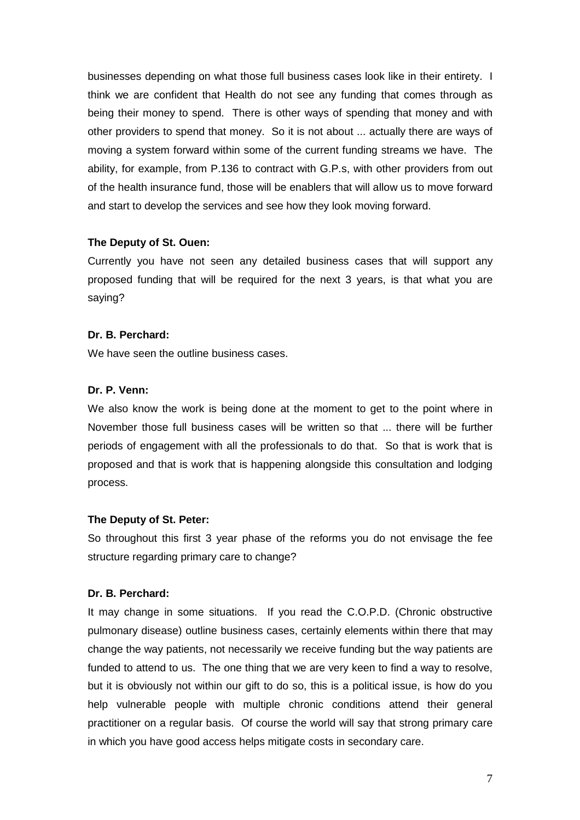businesses depending on what those full business cases look like in their entirety. I think we are confident that Health do not see any funding that comes through as being their money to spend. There is other ways of spending that money and with other providers to spend that money. So it is not about ... actually there are ways of moving a system forward within some of the current funding streams we have. The ability, for example, from P.136 to contract with G.P.s, with other providers from out of the health insurance fund, those will be enablers that will allow us to move forward and start to develop the services and see how they look moving forward.

### **The Deputy of St. Ouen:**

Currently you have not seen any detailed business cases that will support any proposed funding that will be required for the next 3 years, is that what you are saying?

### **Dr. B. Perchard:**

We have seen the outline business cases.

### **Dr. P. Venn:**

We also know the work is being done at the moment to get to the point where in November those full business cases will be written so that ... there will be further periods of engagement with all the professionals to do that. So that is work that is proposed and that is work that is happening alongside this consultation and lodging process.

#### **The Deputy of St. Peter:**

So throughout this first 3 year phase of the reforms you do not envisage the fee structure regarding primary care to change?

#### **Dr. B. Perchard:**

It may change in some situations. If you read the C.O.P.D. (Chronic obstructive pulmonary disease) outline business cases, certainly elements within there that may change the way patients, not necessarily we receive funding but the way patients are funded to attend to us. The one thing that we are very keen to find a way to resolve, but it is obviously not within our gift to do so, this is a political issue, is how do you help vulnerable people with multiple chronic conditions attend their general practitioner on a regular basis. Of course the world will say that strong primary care in which you have good access helps mitigate costs in secondary care.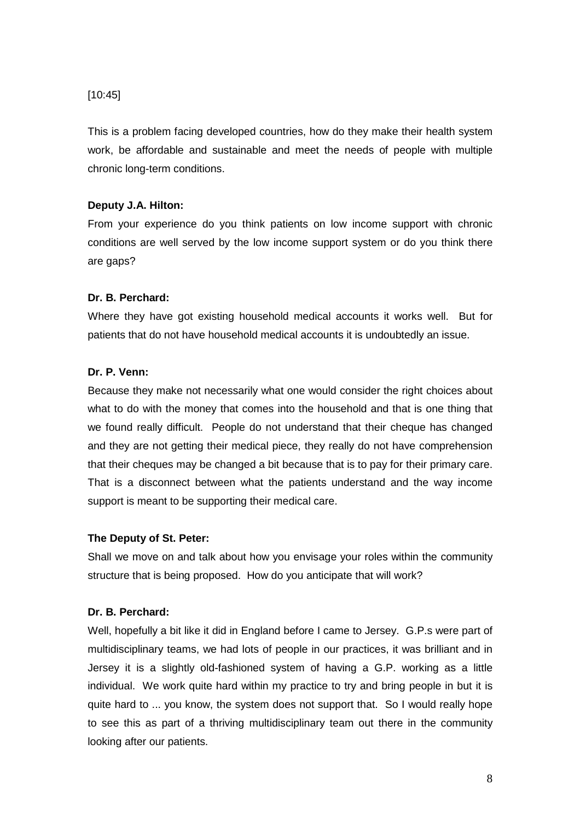### [10:45]

This is a problem facing developed countries, how do they make their health system work, be affordable and sustainable and meet the needs of people with multiple chronic long-term conditions.

### **Deputy J.A. Hilton:**

From your experience do you think patients on low income support with chronic conditions are well served by the low income support system or do you think there are gaps?

### **Dr. B. Perchard:**

Where they have got existing household medical accounts it works well. But for patients that do not have household medical accounts it is undoubtedly an issue.

### **Dr. P. Venn:**

Because they make not necessarily what one would consider the right choices about what to do with the money that comes into the household and that is one thing that we found really difficult. People do not understand that their cheque has changed and they are not getting their medical piece, they really do not have comprehension that their cheques may be changed a bit because that is to pay for their primary care. That is a disconnect between what the patients understand and the way income support is meant to be supporting their medical care.

#### **The Deputy of St. Peter:**

Shall we move on and talk about how you envisage your roles within the community structure that is being proposed. How do you anticipate that will work?

#### **Dr. B. Perchard:**

Well, hopefully a bit like it did in England before I came to Jersey. G.P.s were part of multidisciplinary teams, we had lots of people in our practices, it was brilliant and in Jersey it is a slightly old-fashioned system of having a G.P. working as a little individual. We work quite hard within my practice to try and bring people in but it is quite hard to ... you know, the system does not support that. So I would really hope to see this as part of a thriving multidisciplinary team out there in the community looking after our patients.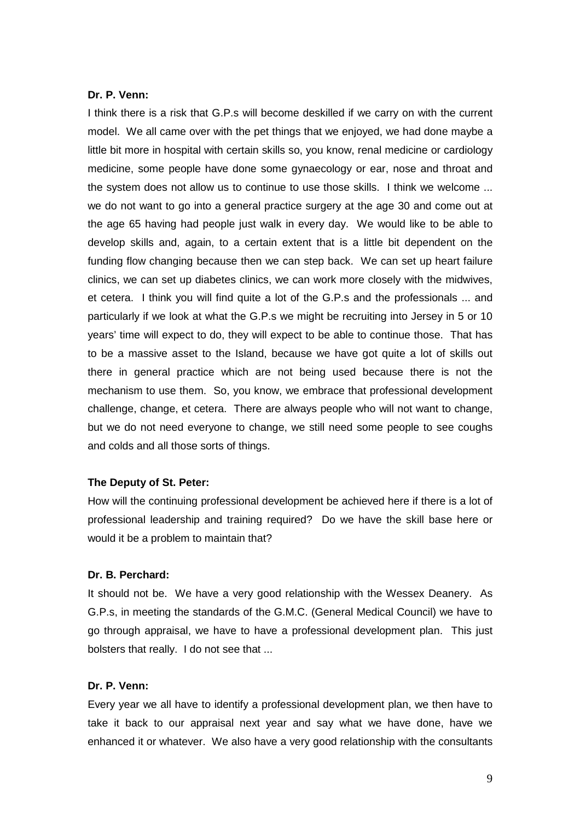### **Dr. P. Venn:**

I think there is a risk that G.P.s will become deskilled if we carry on with the current model. We all came over with the pet things that we enjoyed, we had done maybe a little bit more in hospital with certain skills so, you know, renal medicine or cardiology medicine, some people have done some gynaecology or ear, nose and throat and the system does not allow us to continue to use those skills. I think we welcome ... we do not want to go into a general practice surgery at the age 30 and come out at the age 65 having had people just walk in every day. We would like to be able to develop skills and, again, to a certain extent that is a little bit dependent on the funding flow changing because then we can step back. We can set up heart failure clinics, we can set up diabetes clinics, we can work more closely with the midwives, et cetera. I think you will find quite a lot of the G.P.s and the professionals ... and particularly if we look at what the G.P.s we might be recruiting into Jersey in 5 or 10 years' time will expect to do, they will expect to be able to continue those. That has to be a massive asset to the Island, because we have got quite a lot of skills out there in general practice which are not being used because there is not the mechanism to use them. So, you know, we embrace that professional development challenge, change, et cetera. There are always people who will not want to change, but we do not need everyone to change, we still need some people to see coughs and colds and all those sorts of things.

#### **The Deputy of St. Peter:**

How will the continuing professional development be achieved here if there is a lot of professional leadership and training required? Do we have the skill base here or would it be a problem to maintain that?

### **Dr. B. Perchard:**

It should not be. We have a very good relationship with the Wessex Deanery. As G.P.s, in meeting the standards of the G.M.C. (General Medical Council) we have to go through appraisal, we have to have a professional development plan. This just bolsters that really. I do not see that ...

#### **Dr. P. Venn:**

Every year we all have to identify a professional development plan, we then have to take it back to our appraisal next year and say what we have done, have we enhanced it or whatever. We also have a very good relationship with the consultants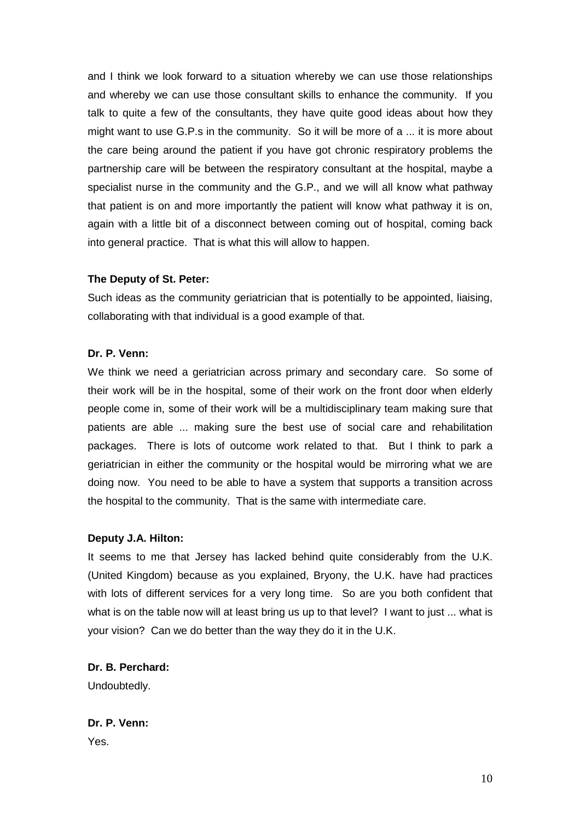and I think we look forward to a situation whereby we can use those relationships and whereby we can use those consultant skills to enhance the community. If you talk to quite a few of the consultants, they have quite good ideas about how they might want to use G.P.s in the community. So it will be more of a ... it is more about the care being around the patient if you have got chronic respiratory problems the partnership care will be between the respiratory consultant at the hospital, maybe a specialist nurse in the community and the G.P., and we will all know what pathway that patient is on and more importantly the patient will know what pathway it is on, again with a little bit of a disconnect between coming out of hospital, coming back into general practice. That is what this will allow to happen.

#### **The Deputy of St. Peter:**

Such ideas as the community geriatrician that is potentially to be appointed, liaising, collaborating with that individual is a good example of that.

### **Dr. P. Venn:**

We think we need a geriatrician across primary and secondary care. So some of their work will be in the hospital, some of their work on the front door when elderly people come in, some of their work will be a multidisciplinary team making sure that patients are able ... making sure the best use of social care and rehabilitation packages. There is lots of outcome work related to that. But I think to park a geriatrician in either the community or the hospital would be mirroring what we are doing now. You need to be able to have a system that supports a transition across the hospital to the community. That is the same with intermediate care.

#### **Deputy J.A. Hilton:**

It seems to me that Jersey has lacked behind quite considerably from the U.K. (United Kingdom) because as you explained, Bryony, the U.K. have had practices with lots of different services for a very long time. So are you both confident that what is on the table now will at least bring us up to that level? I want to just ... what is your vision? Can we do better than the way they do it in the U.K.

**Dr. B. Perchard:**  Undoubtedly.

**Dr. P. Venn:**  Yes.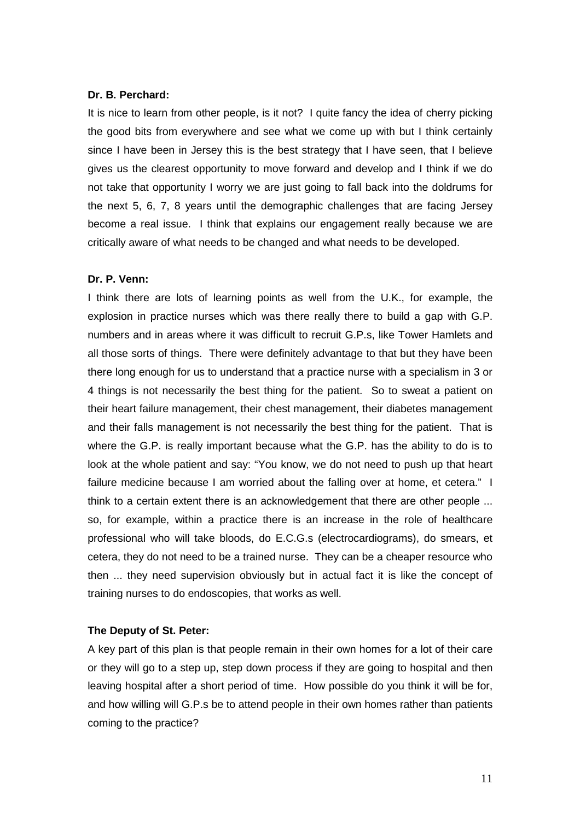#### **Dr. B. Perchard:**

It is nice to learn from other people, is it not? I quite fancy the idea of cherry picking the good bits from everywhere and see what we come up with but I think certainly since I have been in Jersey this is the best strategy that I have seen, that I believe gives us the clearest opportunity to move forward and develop and I think if we do not take that opportunity I worry we are just going to fall back into the doldrums for the next 5, 6, 7, 8 years until the demographic challenges that are facing Jersey become a real issue. I think that explains our engagement really because we are critically aware of what needs to be changed and what needs to be developed.

#### **Dr. P. Venn:**

I think there are lots of learning points as well from the U.K., for example, the explosion in practice nurses which was there really there to build a gap with G.P. numbers and in areas where it was difficult to recruit G.P.s, like Tower Hamlets and all those sorts of things. There were definitely advantage to that but they have been there long enough for us to understand that a practice nurse with a specialism in 3 or 4 things is not necessarily the best thing for the patient. So to sweat a patient on their heart failure management, their chest management, their diabetes management and their falls management is not necessarily the best thing for the patient. That is where the G.P. is really important because what the G.P. has the ability to do is to look at the whole patient and say: "You know, we do not need to push up that heart failure medicine because I am worried about the falling over at home, et cetera." I think to a certain extent there is an acknowledgement that there are other people ... so, for example, within a practice there is an increase in the role of healthcare professional who will take bloods, do E.C.G.s (electrocardiograms), do smears, et cetera, they do not need to be a trained nurse. They can be a cheaper resource who then ... they need supervision obviously but in actual fact it is like the concept of training nurses to do endoscopies, that works as well.

#### **The Deputy of St. Peter:**

A key part of this plan is that people remain in their own homes for a lot of their care or they will go to a step up, step down process if they are going to hospital and then leaving hospital after a short period of time. How possible do you think it will be for, and how willing will G.P.s be to attend people in their own homes rather than patients coming to the practice?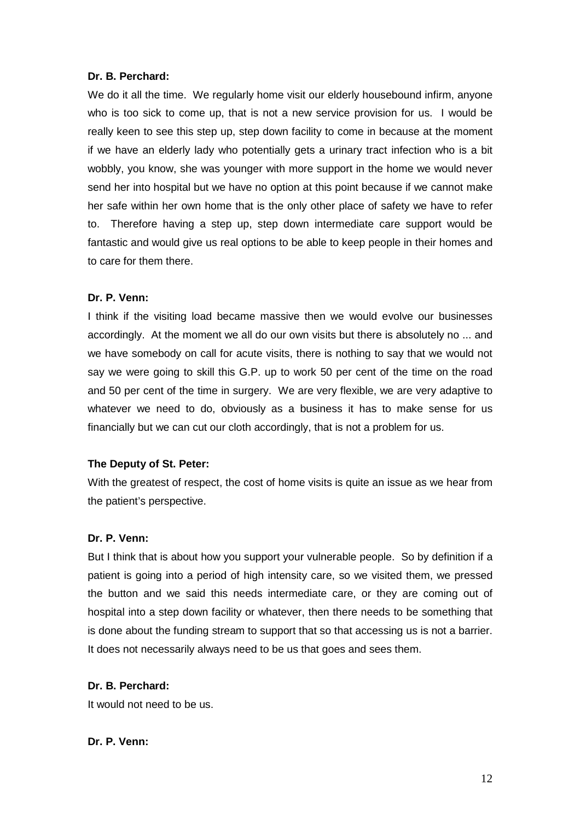### **Dr. B. Perchard:**

We do it all the time. We regularly home visit our elderly housebound infirm, anyone who is too sick to come up, that is not a new service provision for us. I would be really keen to see this step up, step down facility to come in because at the moment if we have an elderly lady who potentially gets a urinary tract infection who is a bit wobbly, you know, she was younger with more support in the home we would never send her into hospital but we have no option at this point because if we cannot make her safe within her own home that is the only other place of safety we have to refer to. Therefore having a step up, step down intermediate care support would be fantastic and would give us real options to be able to keep people in their homes and to care for them there.

#### **Dr. P. Venn:**

I think if the visiting load became massive then we would evolve our businesses accordingly. At the moment we all do our own visits but there is absolutely no ... and we have somebody on call for acute visits, there is nothing to say that we would not say we were going to skill this G.P. up to work 50 per cent of the time on the road and 50 per cent of the time in surgery. We are very flexible, we are very adaptive to whatever we need to do, obviously as a business it has to make sense for us financially but we can cut our cloth accordingly, that is not a problem for us.

#### **The Deputy of St. Peter:**

With the greatest of respect, the cost of home visits is quite an issue as we hear from the patient's perspective.

#### **Dr. P. Venn:**

But I think that is about how you support your vulnerable people. So by definition if a patient is going into a period of high intensity care, so we visited them, we pressed the button and we said this needs intermediate care, or they are coming out of hospital into a step down facility or whatever, then there needs to be something that is done about the funding stream to support that so that accessing us is not a barrier. It does not necessarily always need to be us that goes and sees them.

#### **Dr. B. Perchard:**

It would not need to be us.

#### **Dr. P. Venn:**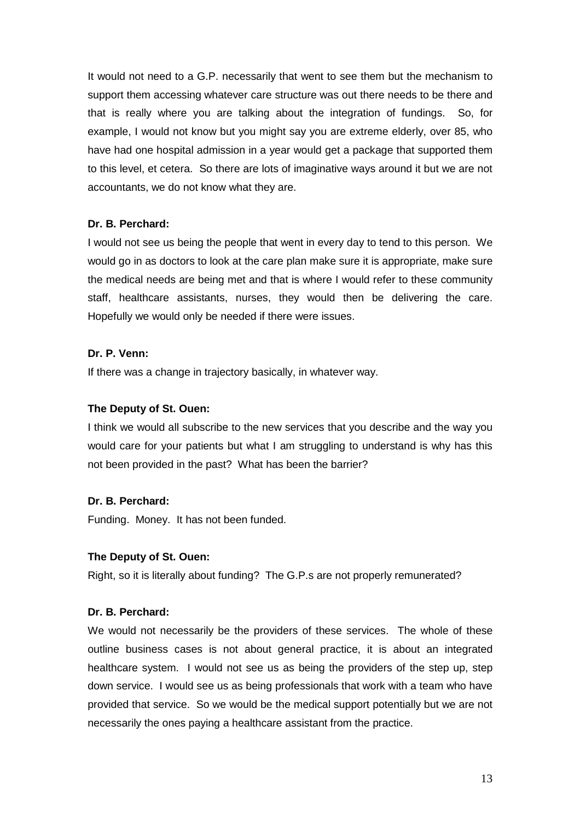It would not need to a G.P. necessarily that went to see them but the mechanism to support them accessing whatever care structure was out there needs to be there and that is really where you are talking about the integration of fundings. So, for example, I would not know but you might say you are extreme elderly, over 85, who have had one hospital admission in a year would get a package that supported them to this level, et cetera. So there are lots of imaginative ways around it but we are not accountants, we do not know what they are.

### **Dr. B. Perchard:**

I would not see us being the people that went in every day to tend to this person. We would go in as doctors to look at the care plan make sure it is appropriate, make sure the medical needs are being met and that is where I would refer to these community staff, healthcare assistants, nurses, they would then be delivering the care. Hopefully we would only be needed if there were issues.

### **Dr. P. Venn:**

If there was a change in trajectory basically, in whatever way.

#### **The Deputy of St. Ouen:**

I think we would all subscribe to the new services that you describe and the way you would care for your patients but what I am struggling to understand is why has this not been provided in the past? What has been the barrier?

#### **Dr. B. Perchard:**

Funding. Money. It has not been funded.

#### **The Deputy of St. Ouen:**

Right, so it is literally about funding? The G.P.s are not properly remunerated?

#### **Dr. B. Perchard:**

We would not necessarily be the providers of these services. The whole of these outline business cases is not about general practice, it is about an integrated healthcare system. I would not see us as being the providers of the step up, step down service. I would see us as being professionals that work with a team who have provided that service. So we would be the medical support potentially but we are not necessarily the ones paying a healthcare assistant from the practice.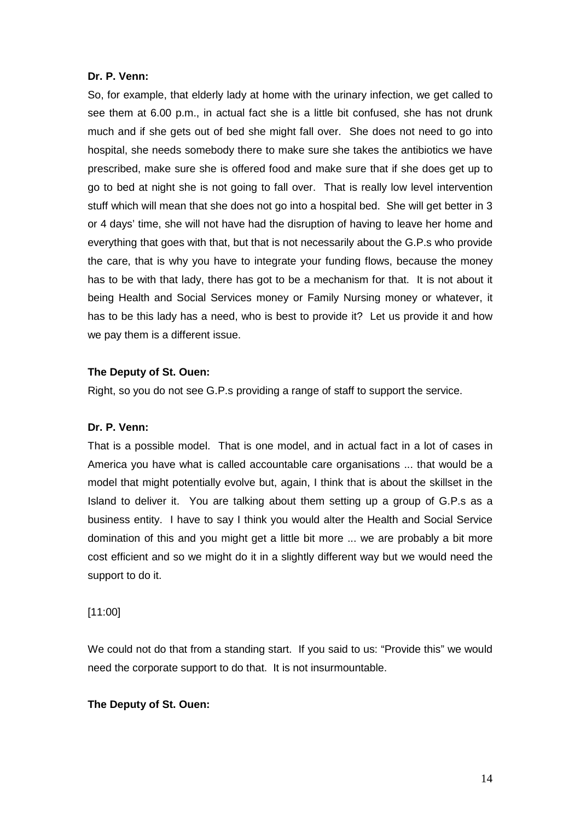#### **Dr. P. Venn:**

So, for example, that elderly lady at home with the urinary infection, we get called to see them at 6.00 p.m., in actual fact she is a little bit confused, she has not drunk much and if she gets out of bed she might fall over. She does not need to go into hospital, she needs somebody there to make sure she takes the antibiotics we have prescribed, make sure she is offered food and make sure that if she does get up to go to bed at night she is not going to fall over. That is really low level intervention stuff which will mean that she does not go into a hospital bed. She will get better in 3 or 4 days' time, she will not have had the disruption of having to leave her home and everything that goes with that, but that is not necessarily about the G.P.s who provide the care, that is why you have to integrate your funding flows, because the money has to be with that lady, there has got to be a mechanism for that. It is not about it being Health and Social Services money or Family Nursing money or whatever, it has to be this lady has a need, who is best to provide it? Let us provide it and how we pay them is a different issue.

### **The Deputy of St. Ouen:**

Right, so you do not see G.P.s providing a range of staff to support the service.

#### **Dr. P. Venn:**

That is a possible model. That is one model, and in actual fact in a lot of cases in America you have what is called accountable care organisations ... that would be a model that might potentially evolve but, again, I think that is about the skillset in the Island to deliver it. You are talking about them setting up a group of G.P.s as a business entity. I have to say I think you would alter the Health and Social Service domination of this and you might get a little bit more ... we are probably a bit more cost efficient and so we might do it in a slightly different way but we would need the support to do it.

#### [11:00]

We could not do that from a standing start. If you said to us: "Provide this" we would need the corporate support to do that. It is not insurmountable.

### **The Deputy of St. Ouen:**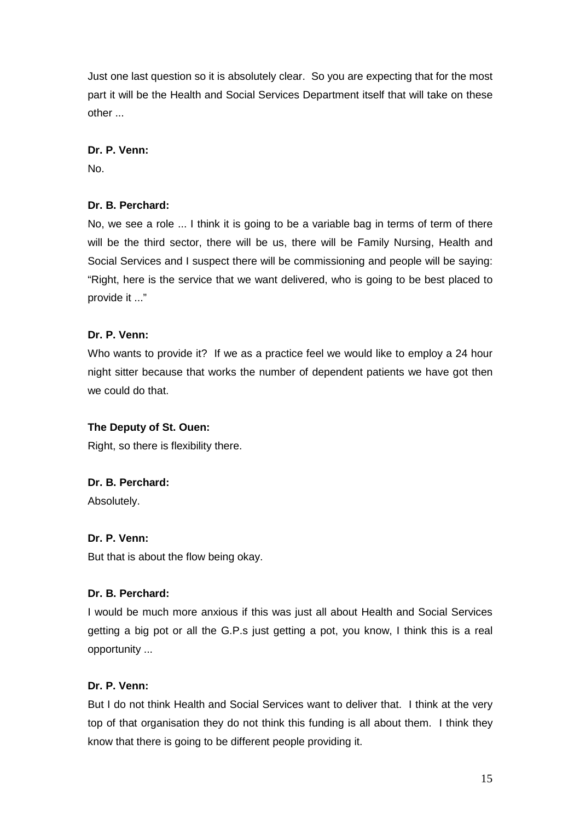Just one last question so it is absolutely clear. So you are expecting that for the most part it will be the Health and Social Services Department itself that will take on these other ...

### **Dr. P. Venn:**

No.

# **Dr. B. Perchard:**

No, we see a role ... I think it is going to be a variable bag in terms of term of there will be the third sector, there will be us, there will be Family Nursing, Health and Social Services and I suspect there will be commissioning and people will be saying: "Right, here is the service that we want delivered, who is going to be best placed to provide it ..."

# **Dr. P. Venn:**

Who wants to provide it? If we as a practice feel we would like to employ a 24 hour night sitter because that works the number of dependent patients we have got then we could do that.

### **The Deputy of St. Ouen:**

Right, so there is flexibility there.

### **Dr. B. Perchard:**

Absolutely.

### **Dr. P. Venn:**

But that is about the flow being okay.

### **Dr. B. Perchard:**

I would be much more anxious if this was just all about Health and Social Services getting a big pot or all the G.P.s just getting a pot, you know, I think this is a real opportunity ...

### **Dr. P. Venn:**

But I do not think Health and Social Services want to deliver that. I think at the very top of that organisation they do not think this funding is all about them. I think they know that there is going to be different people providing it.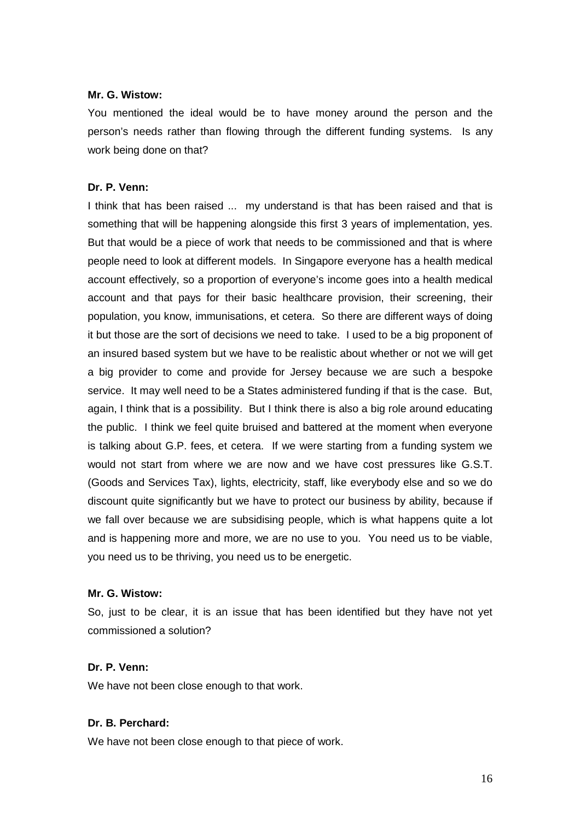#### **Mr. G. Wistow:**

You mentioned the ideal would be to have money around the person and the person's needs rather than flowing through the different funding systems. Is any work being done on that?

### **Dr. P. Venn:**

I think that has been raised ... my understand is that has been raised and that is something that will be happening alongside this first 3 years of implementation, yes. But that would be a piece of work that needs to be commissioned and that is where people need to look at different models. In Singapore everyone has a health medical account effectively, so a proportion of everyone's income goes into a health medical account and that pays for their basic healthcare provision, their screening, their population, you know, immunisations, et cetera. So there are different ways of doing it but those are the sort of decisions we need to take. I used to be a big proponent of an insured based system but we have to be realistic about whether or not we will get a big provider to come and provide for Jersey because we are such a bespoke service. It may well need to be a States administered funding if that is the case. But, again, I think that is a possibility. But I think there is also a big role around educating the public. I think we feel quite bruised and battered at the moment when everyone is talking about G.P. fees, et cetera. If we were starting from a funding system we would not start from where we are now and we have cost pressures like G.S.T. (Goods and Services Tax), lights, electricity, staff, like everybody else and so we do discount quite significantly but we have to protect our business by ability, because if we fall over because we are subsidising people, which is what happens quite a lot and is happening more and more, we are no use to you. You need us to be viable, you need us to be thriving, you need us to be energetic.

#### **Mr. G. Wistow:**

So, just to be clear, it is an issue that has been identified but they have not yet commissioned a solution?

### **Dr. P. Venn:**

We have not been close enough to that work.

### **Dr. B. Perchard:**

We have not been close enough to that piece of work.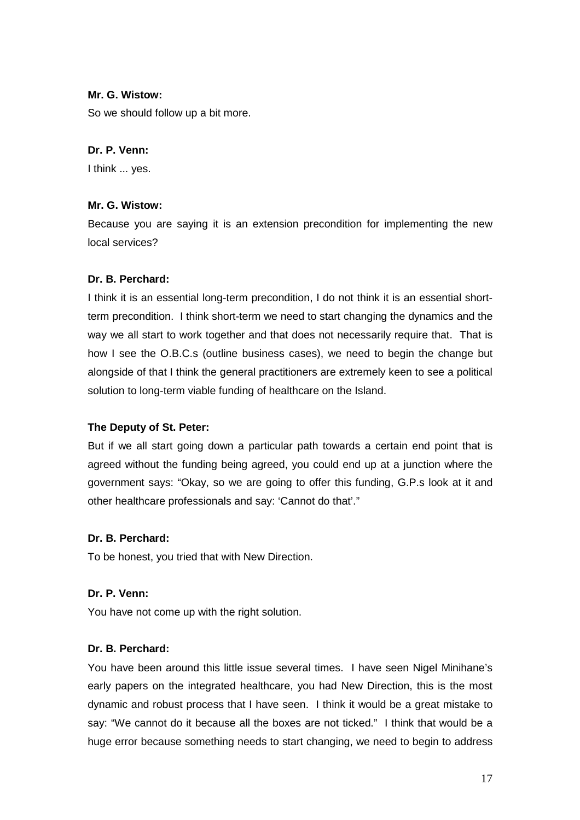### **Mr. G. Wistow:**

So we should follow up a bit more.

### **Dr. P. Venn:**

I think ... yes.

### **Mr. G. Wistow:**

Because you are saying it is an extension precondition for implementing the new local services?

# **Dr. B. Perchard:**

I think it is an essential long-term precondition, I do not think it is an essential shortterm precondition. I think short-term we need to start changing the dynamics and the way we all start to work together and that does not necessarily require that. That is how I see the O.B.C.s (outline business cases), we need to begin the change but alongside of that I think the general practitioners are extremely keen to see a political solution to long-term viable funding of healthcare on the Island.

### **The Deputy of St. Peter:**

But if we all start going down a particular path towards a certain end point that is agreed without the funding being agreed, you could end up at a junction where the government says: "Okay, so we are going to offer this funding, G.P.s look at it and other healthcare professionals and say: 'Cannot do that'."

### **Dr. B. Perchard:**

To be honest, you tried that with New Direction.

### **Dr. P. Venn:**

You have not come up with the right solution.

### **Dr. B. Perchard:**

You have been around this little issue several times. I have seen Nigel Minihane's early papers on the integrated healthcare, you had New Direction, this is the most dynamic and robust process that I have seen. I think it would be a great mistake to say: "We cannot do it because all the boxes are not ticked." I think that would be a huge error because something needs to start changing, we need to begin to address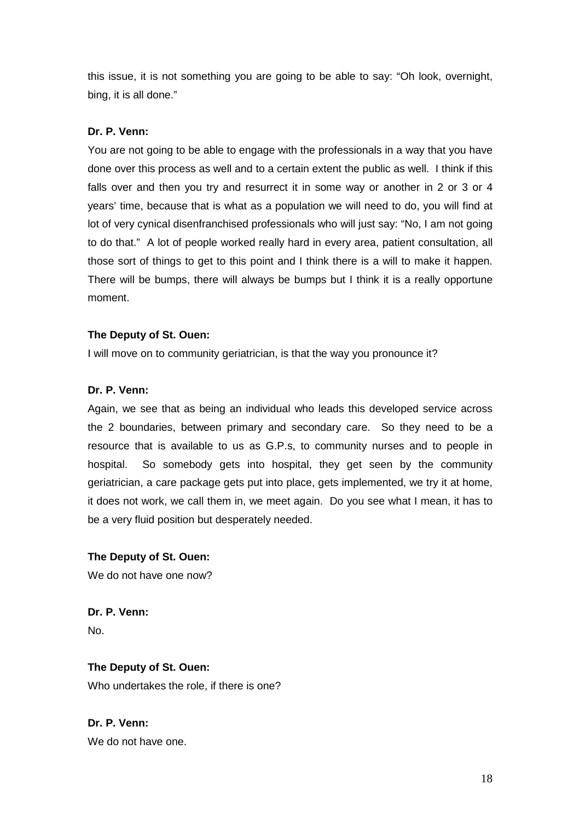this issue, it is not something you are going to be able to say: "Oh look, overnight, bing, it is all done."

### **Dr. P. Venn:**

You are not going to be able to engage with the professionals in a way that you have done over this process as well and to a certain extent the public as well. I think if this falls over and then you try and resurrect it in some way or another in 2 or 3 or 4 years' time, because that is what as a population we will need to do, you will find at lot of very cynical disenfranchised professionals who will just say: "No, I am not going to do that." A lot of people worked really hard in every area, patient consultation, all those sort of things to get to this point and I think there is a will to make it happen. There will be bumps, there will always be bumps but I think it is a really opportune moment.

### **The Deputy of St. Ouen:**

I will move on to community geriatrician, is that the way you pronounce it?

### **Dr. P. Venn:**

Again, we see that as being an individual who leads this developed service across the 2 boundaries, between primary and secondary care. So they need to be a resource that is available to us as G.P.s, to community nurses and to people in hospital. So somebody gets into hospital, they get seen by the community geriatrician, a care package gets put into place, gets implemented, we try it at home, it does not work, we call them in, we meet again. Do you see what I mean, it has to be a very fluid position but desperately needed.

# **The Deputy of St. Ouen:**

We do not have one now?

**Dr. P. Venn:**  No.

# **The Deputy of St. Ouen:**

Who undertakes the role, if there is one?

**Dr. P. Venn:**  We do not have one.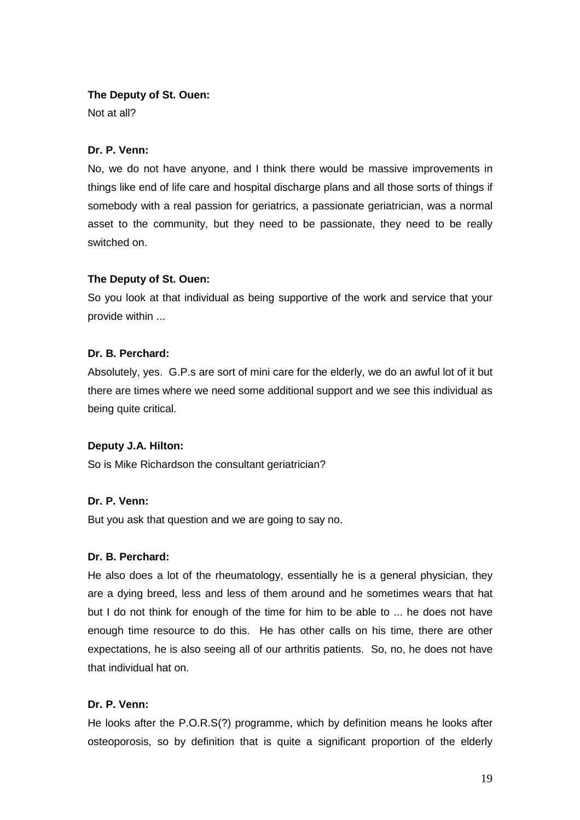### **The Deputy of St. Ouen:**

Not at all?

### **Dr. P. Venn:**

No, we do not have anyone, and I think there would be massive improvements in things like end of life care and hospital discharge plans and all those sorts of things if somebody with a real passion for geriatrics, a passionate geriatrician, was a normal asset to the community, but they need to be passionate, they need to be really switched on.

### **The Deputy of St. Ouen:**

So you look at that individual as being supportive of the work and service that your provide within ...

### **Dr. B. Perchard:**

Absolutely, yes. G.P.s are sort of mini care for the elderly, we do an awful lot of it but there are times where we need some additional support and we see this individual as being quite critical.

### **Deputy J.A. Hilton:**

So is Mike Richardson the consultant geriatrician?

### **Dr. P. Venn:**

But you ask that question and we are going to say no.

#### **Dr. B. Perchard:**

He also does a lot of the rheumatology, essentially he is a general physician, they are a dying breed, less and less of them around and he sometimes wears that hat but I do not think for enough of the time for him to be able to ... he does not have enough time resource to do this. He has other calls on his time, there are other expectations, he is also seeing all of our arthritis patients. So, no, he does not have that individual hat on.

### **Dr. P. Venn:**

He looks after the P.O.R.S(?) programme, which by definition means he looks after osteoporosis, so by definition that is quite a significant proportion of the elderly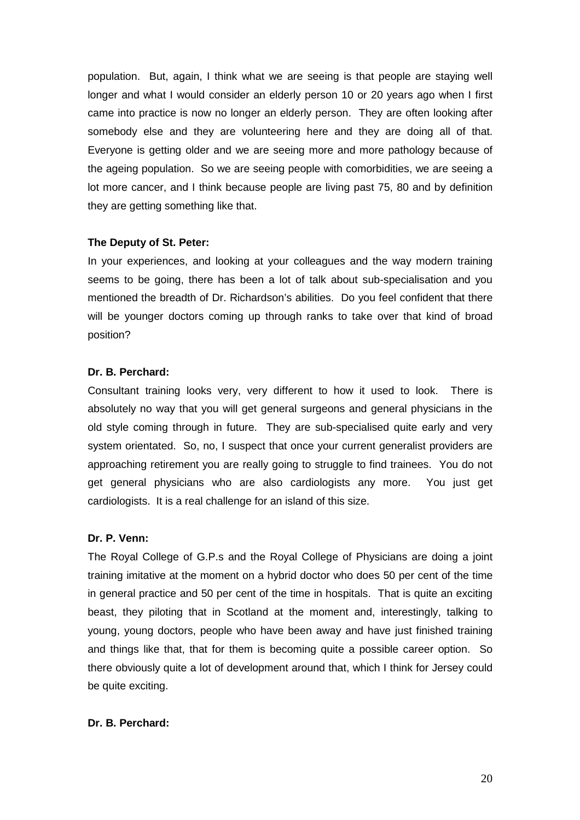population. But, again, I think what we are seeing is that people are staying well longer and what I would consider an elderly person 10 or 20 years ago when I first came into practice is now no longer an elderly person. They are often looking after somebody else and they are volunteering here and they are doing all of that. Everyone is getting older and we are seeing more and more pathology because of the ageing population. So we are seeing people with comorbidities, we are seeing a lot more cancer, and I think because people are living past 75, 80 and by definition they are getting something like that.

### **The Deputy of St. Peter:**

In your experiences, and looking at your colleagues and the way modern training seems to be going, there has been a lot of talk about sub-specialisation and you mentioned the breadth of Dr. Richardson's abilities. Do you feel confident that there will be younger doctors coming up through ranks to take over that kind of broad position?

### **Dr. B. Perchard:**

Consultant training looks very, very different to how it used to look. There is absolutely no way that you will get general surgeons and general physicians in the old style coming through in future. They are sub-specialised quite early and very system orientated. So, no, I suspect that once your current generalist providers are approaching retirement you are really going to struggle to find trainees. You do not get general physicians who are also cardiologists any more. You just get cardiologists. It is a real challenge for an island of this size.

#### **Dr. P. Venn:**

The Royal College of G.P.s and the Royal College of Physicians are doing a joint training imitative at the moment on a hybrid doctor who does 50 per cent of the time in general practice and 50 per cent of the time in hospitals. That is quite an exciting beast, they piloting that in Scotland at the moment and, interestingly, talking to young, young doctors, people who have been away and have just finished training and things like that, that for them is becoming quite a possible career option. So there obviously quite a lot of development around that, which I think for Jersey could be quite exciting.

### **Dr. B. Perchard:**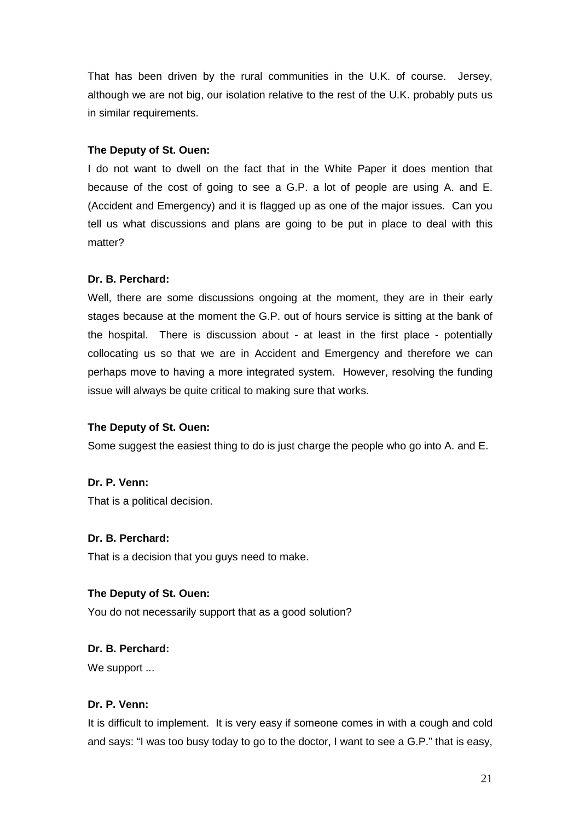That has been driven by the rural communities in the U.K. of course. Jersey, although we are not big, our isolation relative to the rest of the U.K. probably puts us in similar requirements.

### **The Deputy of St. Ouen:**

I do not want to dwell on the fact that in the White Paper it does mention that because of the cost of going to see a G.P. a lot of people are using A. and E. (Accident and Emergency) and it is flagged up as one of the major issues. Can you tell us what discussions and plans are going to be put in place to deal with this matter?

### **Dr. B. Perchard:**

Well, there are some discussions ongoing at the moment, they are in their early stages because at the moment the G.P. out of hours service is sitting at the bank of the hospital. There is discussion about - at least in the first place - potentially collocating us so that we are in Accident and Emergency and therefore we can perhaps move to having a more integrated system. However, resolving the funding issue will always be quite critical to making sure that works.

#### **The Deputy of St. Ouen:**

Some suggest the easiest thing to do is just charge the people who go into A. and E.

#### **Dr. P. Venn:**

That is a political decision.

#### **Dr. B. Perchard:**

That is a decision that you guys need to make.

#### **The Deputy of St. Ouen:**

You do not necessarily support that as a good solution?

#### **Dr. B. Perchard:**

We support ...

### **Dr. P. Venn:**

It is difficult to implement. It is very easy if someone comes in with a cough and cold and says: "I was too busy today to go to the doctor, I want to see a G.P." that is easy,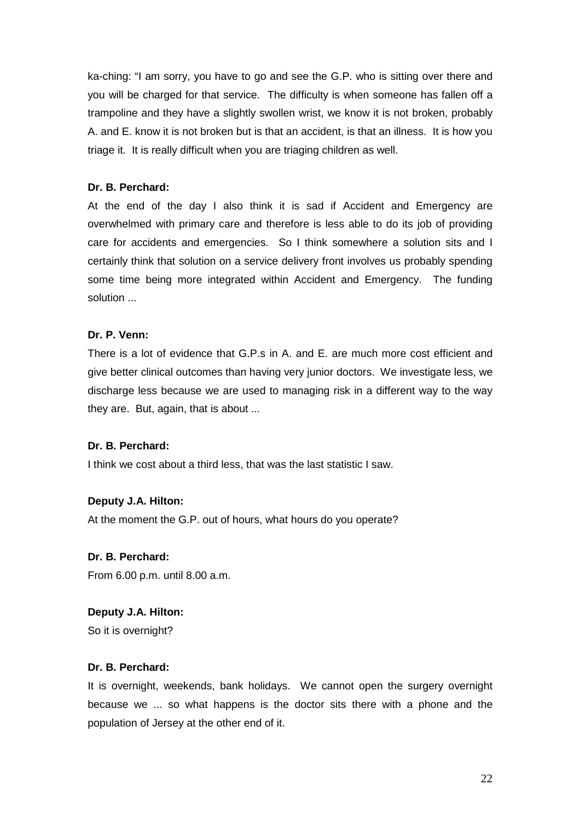ka-ching: "I am sorry, you have to go and see the G.P. who is sitting over there and you will be charged for that service. The difficulty is when someone has fallen off a trampoline and they have a slightly swollen wrist, we know it is not broken, probably A. and E. know it is not broken but is that an accident, is that an illness. It is how you triage it. It is really difficult when you are triaging children as well.

### **Dr. B. Perchard:**

At the end of the day I also think it is sad if Accident and Emergency are overwhelmed with primary care and therefore is less able to do its job of providing care for accidents and emergencies. So I think somewhere a solution sits and I certainly think that solution on a service delivery front involves us probably spending some time being more integrated within Accident and Emergency. The funding solution ...

# **Dr. P. Venn:**

There is a lot of evidence that G.P.s in A. and E. are much more cost efficient and give better clinical outcomes than having very junior doctors. We investigate less, we discharge less because we are used to managing risk in a different way to the way they are. But, again, that is about ...

### **Dr. B. Perchard:**

I think we cost about a third less, that was the last statistic I saw.

# **Deputy J.A. Hilton:**

At the moment the G.P. out of hours, what hours do you operate?

### **Dr. B. Perchard:**

From 6.00 p.m. until 8.00 a.m.

# **Deputy J.A. Hilton:**

So it is overnight?

### **Dr. B. Perchard:**

It is overnight, weekends, bank holidays. We cannot open the surgery overnight because we ... so what happens is the doctor sits there with a phone and the population of Jersey at the other end of it.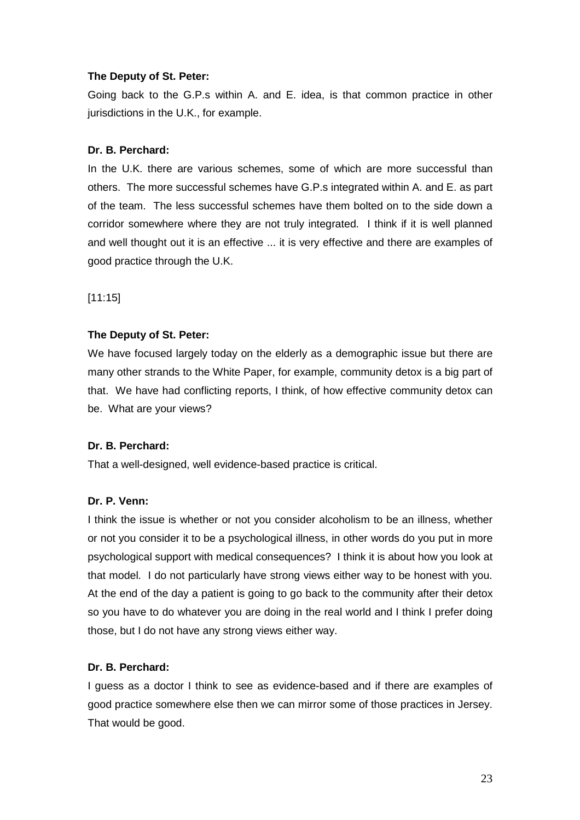### **The Deputy of St. Peter:**

Going back to the G.P.s within A. and E. idea, is that common practice in other jurisdictions in the U.K., for example.

### **Dr. B. Perchard:**

In the U.K. there are various schemes, some of which are more successful than others. The more successful schemes have G.P.s integrated within A. and E. as part of the team. The less successful schemes have them bolted on to the side down a corridor somewhere where they are not truly integrated. I think if it is well planned and well thought out it is an effective ... it is very effective and there are examples of good practice through the U.K.

[11:15]

### **The Deputy of St. Peter:**

We have focused largely today on the elderly as a demographic issue but there are many other strands to the White Paper, for example, community detox is a big part of that. We have had conflicting reports, I think, of how effective community detox can be. What are your views?

### **Dr. B. Perchard:**

That a well-designed, well evidence-based practice is critical.

### **Dr. P. Venn:**

I think the issue is whether or not you consider alcoholism to be an illness, whether or not you consider it to be a psychological illness, in other words do you put in more psychological support with medical consequences? I think it is about how you look at that model. I do not particularly have strong views either way to be honest with you. At the end of the day a patient is going to go back to the community after their detox so you have to do whatever you are doing in the real world and I think I prefer doing those, but I do not have any strong views either way.

### **Dr. B. Perchard:**

I guess as a doctor I think to see as evidence-based and if there are examples of good practice somewhere else then we can mirror some of those practices in Jersey. That would be good.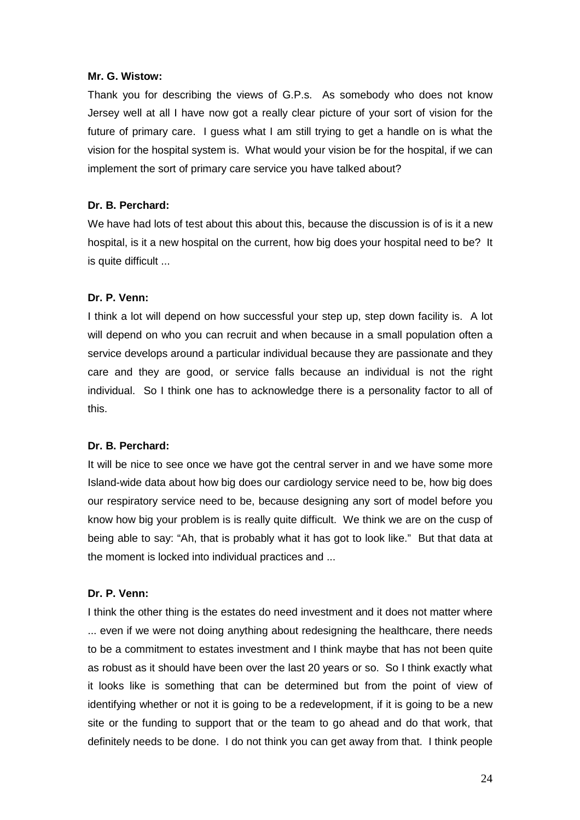### **Mr. G. Wistow:**

Thank you for describing the views of G.P.s. As somebody who does not know Jersey well at all I have now got a really clear picture of your sort of vision for the future of primary care. I guess what I am still trying to get a handle on is what the vision for the hospital system is. What would your vision be for the hospital, if we can implement the sort of primary care service you have talked about?

### **Dr. B. Perchard:**

We have had lots of test about this about this, because the discussion is of is it a new hospital, is it a new hospital on the current, how big does your hospital need to be? It is quite difficult ...

### **Dr. P. Venn:**

I think a lot will depend on how successful your step up, step down facility is. A lot will depend on who you can recruit and when because in a small population often a service develops around a particular individual because they are passionate and they care and they are good, or service falls because an individual is not the right individual. So I think one has to acknowledge there is a personality factor to all of this.

#### **Dr. B. Perchard:**

It will be nice to see once we have got the central server in and we have some more Island-wide data about how big does our cardiology service need to be, how big does our respiratory service need to be, because designing any sort of model before you know how big your problem is is really quite difficult. We think we are on the cusp of being able to say: "Ah, that is probably what it has got to look like." But that data at the moment is locked into individual practices and ...

#### **Dr. P. Venn:**

I think the other thing is the estates do need investment and it does not matter where ... even if we were not doing anything about redesigning the healthcare, there needs to be a commitment to estates investment and I think maybe that has not been quite as robust as it should have been over the last 20 years or so. So I think exactly what it looks like is something that can be determined but from the point of view of identifying whether or not it is going to be a redevelopment, if it is going to be a new site or the funding to support that or the team to go ahead and do that work, that definitely needs to be done. I do not think you can get away from that. I think people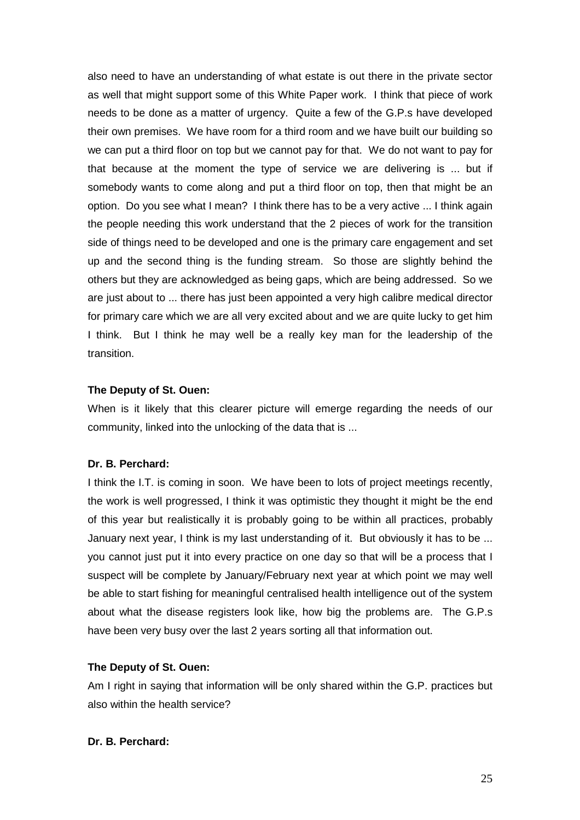also need to have an understanding of what estate is out there in the private sector as well that might support some of this White Paper work. I think that piece of work needs to be done as a matter of urgency. Quite a few of the G.P.s have developed their own premises. We have room for a third room and we have built our building so we can put a third floor on top but we cannot pay for that. We do not want to pay for that because at the moment the type of service we are delivering is ... but if somebody wants to come along and put a third floor on top, then that might be an option. Do you see what I mean? I think there has to be a very active ... I think again the people needing this work understand that the 2 pieces of work for the transition side of things need to be developed and one is the primary care engagement and set up and the second thing is the funding stream. So those are slightly behind the others but they are acknowledged as being gaps, which are being addressed. So we are just about to ... there has just been appointed a very high calibre medical director for primary care which we are all very excited about and we are quite lucky to get him I think. But I think he may well be a really key man for the leadership of the transition.

#### **The Deputy of St. Ouen:**

When is it likely that this clearer picture will emerge regarding the needs of our community, linked into the unlocking of the data that is ...

### **Dr. B. Perchard:**

I think the I.T. is coming in soon. We have been to lots of project meetings recently, the work is well progressed, I think it was optimistic they thought it might be the end of this year but realistically it is probably going to be within all practices, probably January next year, I think is my last understanding of it. But obviously it has to be ... you cannot just put it into every practice on one day so that will be a process that I suspect will be complete by January/February next year at which point we may well be able to start fishing for meaningful centralised health intelligence out of the system about what the disease registers look like, how big the problems are. The G.P.s have been very busy over the last 2 years sorting all that information out.

### **The Deputy of St. Ouen:**

Am I right in saying that information will be only shared within the G.P. practices but also within the health service?

### **Dr. B. Perchard:**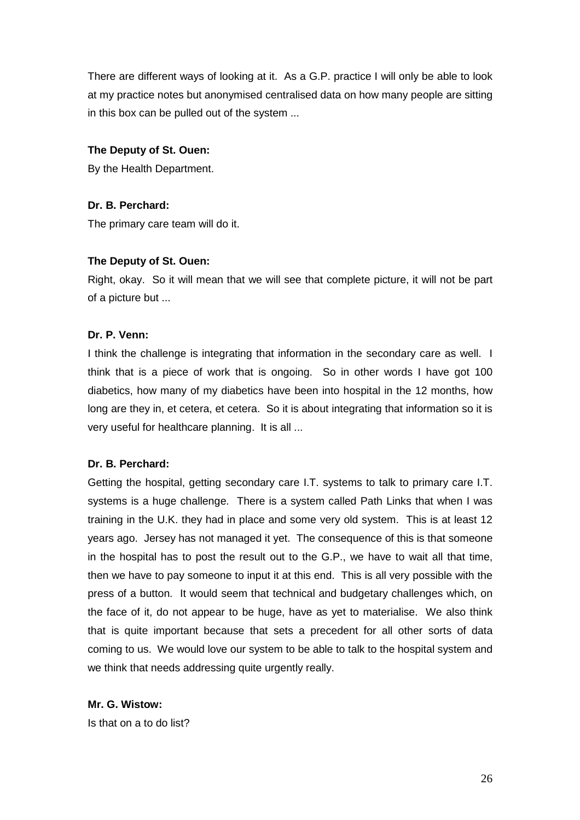There are different ways of looking at it. As a G.P. practice I will only be able to look at my practice notes but anonymised centralised data on how many people are sitting in this box can be pulled out of the system ...

### **The Deputy of St. Ouen:**

By the Health Department.

# **Dr. B. Perchard:**

The primary care team will do it.

# **The Deputy of St. Ouen:**

Right, okay. So it will mean that we will see that complete picture, it will not be part of a picture but ...

# **Dr. P. Venn:**

I think the challenge is integrating that information in the secondary care as well. I think that is a piece of work that is ongoing. So in other words I have got 100 diabetics, how many of my diabetics have been into hospital in the 12 months, how long are they in, et cetera, et cetera. So it is about integrating that information so it is very useful for healthcare planning. It is all ...

### **Dr. B. Perchard:**

Getting the hospital, getting secondary care I.T. systems to talk to primary care I.T. systems is a huge challenge. There is a system called Path Links that when I was training in the U.K. they had in place and some very old system. This is at least 12 years ago. Jersey has not managed it yet. The consequence of this is that someone in the hospital has to post the result out to the G.P., we have to wait all that time, then we have to pay someone to input it at this end. This is all very possible with the press of a button. It would seem that technical and budgetary challenges which, on the face of it, do not appear to be huge, have as yet to materialise. We also think that is quite important because that sets a precedent for all other sorts of data coming to us. We would love our system to be able to talk to the hospital system and we think that needs addressing quite urgently really.

**Mr. G. Wistow:** Is that on a to do list?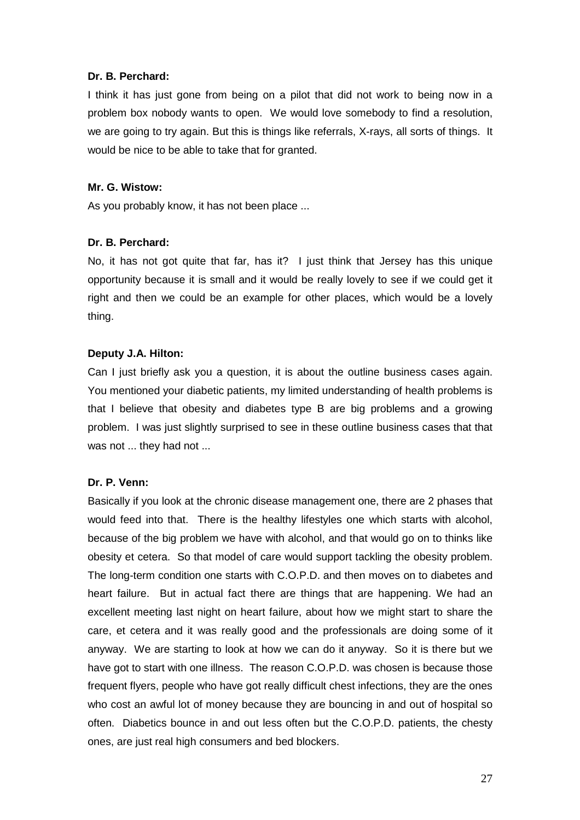### **Dr. B. Perchard:**

I think it has just gone from being on a pilot that did not work to being now in a problem box nobody wants to open. We would love somebody to find a resolution, we are going to try again. But this is things like referrals, X-rays, all sorts of things. It would be nice to be able to take that for granted.

### **Mr. G. Wistow:**

As you probably know, it has not been place ...

### **Dr. B. Perchard:**

No, it has not got quite that far, has it? I just think that Jersey has this unique opportunity because it is small and it would be really lovely to see if we could get it right and then we could be an example for other places, which would be a lovely thing.

### **Deputy J.A. Hilton:**

Can I just briefly ask you a question, it is about the outline business cases again. You mentioned your diabetic patients, my limited understanding of health problems is that I believe that obesity and diabetes type B are big problems and a growing problem. I was just slightly surprised to see in these outline business cases that that was not ... they had not ...

#### **Dr. P. Venn:**

Basically if you look at the chronic disease management one, there are 2 phases that would feed into that. There is the healthy lifestyles one which starts with alcohol, because of the big problem we have with alcohol, and that would go on to thinks like obesity et cetera. So that model of care would support tackling the obesity problem. The long-term condition one starts with C.O.P.D. and then moves on to diabetes and heart failure. But in actual fact there are things that are happening. We had an excellent meeting last night on heart failure, about how we might start to share the care, et cetera and it was really good and the professionals are doing some of it anyway. We are starting to look at how we can do it anyway. So it is there but we have got to start with one illness. The reason C.O.P.D. was chosen is because those frequent flyers, people who have got really difficult chest infections, they are the ones who cost an awful lot of money because they are bouncing in and out of hospital so often. Diabetics bounce in and out less often but the C.O.P.D. patients, the chesty ones, are just real high consumers and bed blockers.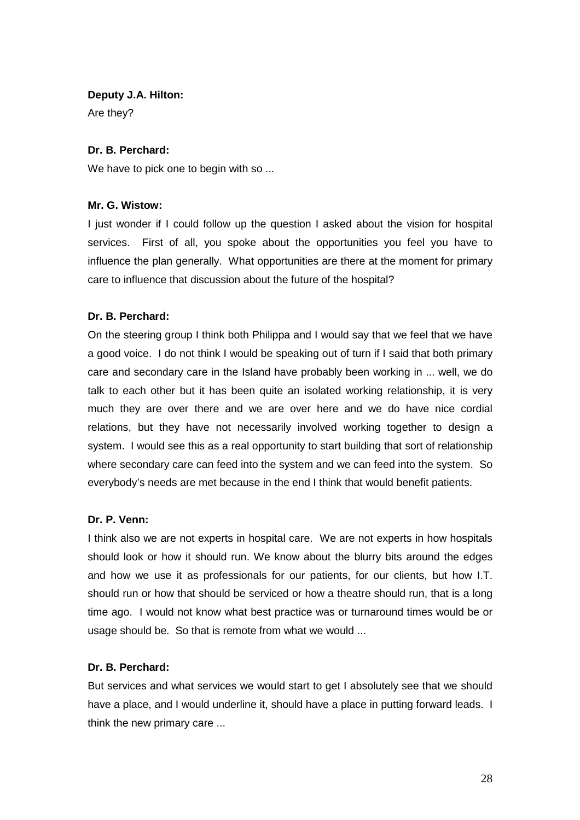### **Deputy J.A. Hilton:**

Are they?

### **Dr. B. Perchard:**

We have to pick one to begin with so ...

### **Mr. G. Wistow:**

I just wonder if I could follow up the question I asked about the vision for hospital services. First of all, you spoke about the opportunities you feel you have to influence the plan generally. What opportunities are there at the moment for primary care to influence that discussion about the future of the hospital?

### **Dr. B. Perchard:**

On the steering group I think both Philippa and I would say that we feel that we have a good voice. I do not think I would be speaking out of turn if I said that both primary care and secondary care in the Island have probably been working in ... well, we do talk to each other but it has been quite an isolated working relationship, it is very much they are over there and we are over here and we do have nice cordial relations, but they have not necessarily involved working together to design a system. I would see this as a real opportunity to start building that sort of relationship where secondary care can feed into the system and we can feed into the system. So everybody's needs are met because in the end I think that would benefit patients.

### **Dr. P. Venn:**

I think also we are not experts in hospital care. We are not experts in how hospitals should look or how it should run. We know about the blurry bits around the edges and how we use it as professionals for our patients, for our clients, but how I.T. should run or how that should be serviced or how a theatre should run, that is a long time ago. I would not know what best practice was or turnaround times would be or usage should be. So that is remote from what we would ...

### **Dr. B. Perchard:**

But services and what services we would start to get I absolutely see that we should have a place, and I would underline it, should have a place in putting forward leads. I think the new primary care ...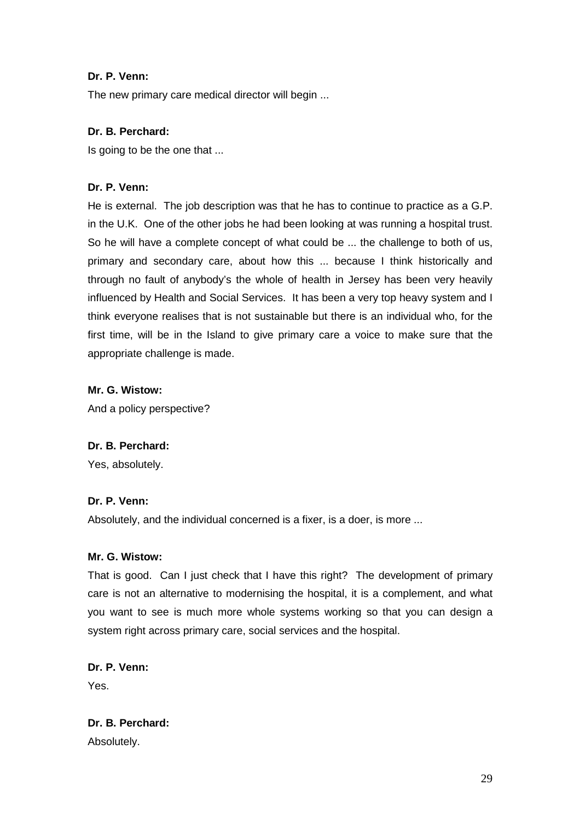# **Dr. P. Venn:**

The new primary care medical director will begin ...

# **Dr. B. Perchard:**

Is going to be the one that ...

# **Dr. P. Venn:**

He is external. The job description was that he has to continue to practice as a G.P. in the U.K. One of the other jobs he had been looking at was running a hospital trust. So he will have a complete concept of what could be ... the challenge to both of us, primary and secondary care, about how this ... because I think historically and through no fault of anybody's the whole of health in Jersey has been very heavily influenced by Health and Social Services. It has been a very top heavy system and I think everyone realises that is not sustainable but there is an individual who, for the first time, will be in the Island to give primary care a voice to make sure that the appropriate challenge is made.

# **Mr. G. Wistow:**

And a policy perspective?

### **Dr. B. Perchard:**

Yes, absolutely.

### **Dr. P. Venn:**

Absolutely, and the individual concerned is a fixer, is a doer, is more ...

### **Mr. G. Wistow:**

That is good. Can I just check that I have this right? The development of primary care is not an alternative to modernising the hospital, it is a complement, and what you want to see is much more whole systems working so that you can design a system right across primary care, social services and the hospital.

# **Dr. P. Venn:**

Yes.

**Dr. B. Perchard:**  Absolutely.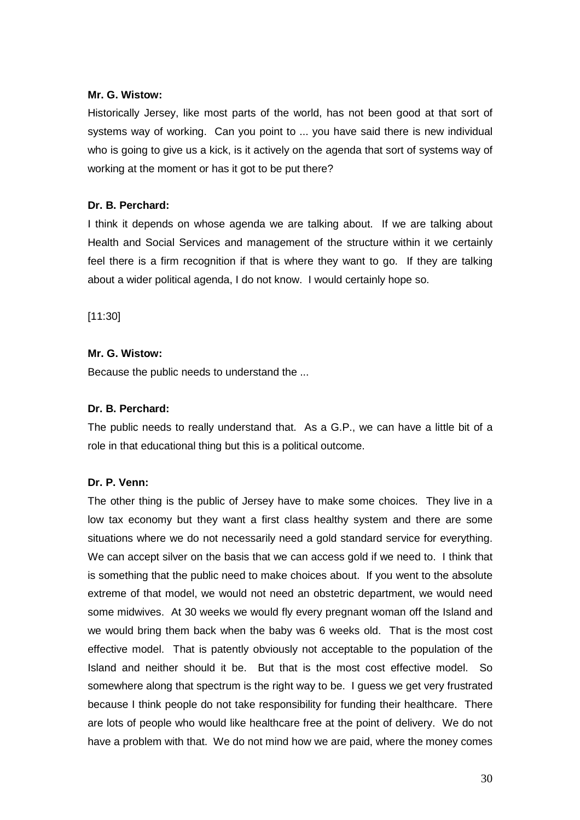### **Mr. G. Wistow:**

Historically Jersey, like most parts of the world, has not been good at that sort of systems way of working. Can you point to ... you have said there is new individual who is going to give us a kick, is it actively on the agenda that sort of systems way of working at the moment or has it got to be put there?

### **Dr. B. Perchard:**

I think it depends on whose agenda we are talking about. If we are talking about Health and Social Services and management of the structure within it we certainly feel there is a firm recognition if that is where they want to go. If they are talking about a wider political agenda, I do not know. I would certainly hope so.

[11:30]

### **Mr. G. Wistow:**

Because the public needs to understand the ...

### **Dr. B. Perchard:**

The public needs to really understand that. As a G.P., we can have a little bit of a role in that educational thing but this is a political outcome.

#### **Dr. P. Venn:**

The other thing is the public of Jersey have to make some choices. They live in a low tax economy but they want a first class healthy system and there are some situations where we do not necessarily need a gold standard service for everything. We can accept silver on the basis that we can access gold if we need to. I think that is something that the public need to make choices about. If you went to the absolute extreme of that model, we would not need an obstetric department, we would need some midwives. At 30 weeks we would fly every pregnant woman off the Island and we would bring them back when the baby was 6 weeks old. That is the most cost effective model. That is patently obviously not acceptable to the population of the Island and neither should it be. But that is the most cost effective model. So somewhere along that spectrum is the right way to be. I guess we get very frustrated because I think people do not take responsibility for funding their healthcare. There are lots of people who would like healthcare free at the point of delivery. We do not have a problem with that. We do not mind how we are paid, where the money comes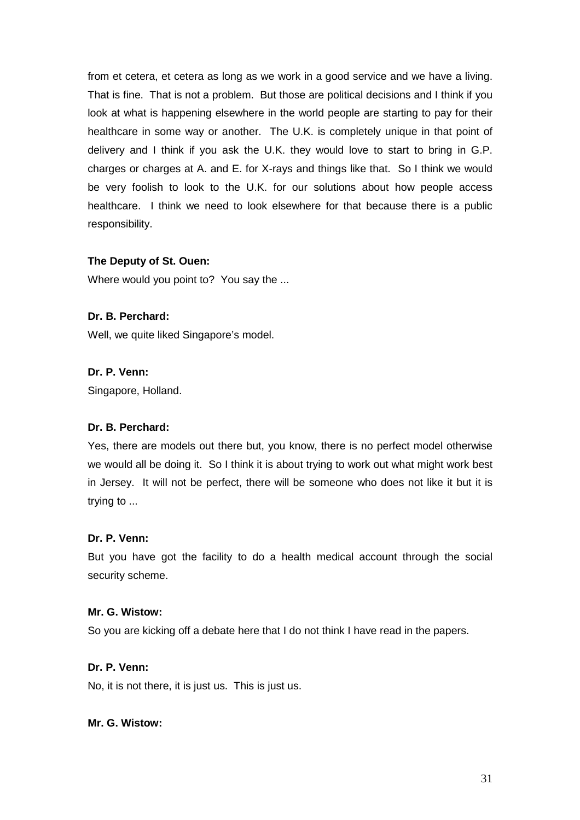from et cetera, et cetera as long as we work in a good service and we have a living. That is fine. That is not a problem. But those are political decisions and I think if you look at what is happening elsewhere in the world people are starting to pay for their healthcare in some way or another. The U.K. is completely unique in that point of delivery and I think if you ask the U.K. they would love to start to bring in G.P. charges or charges at A. and E. for X-rays and things like that. So I think we would be very foolish to look to the U.K. for our solutions about how people access healthcare. I think we need to look elsewhere for that because there is a public responsibility.

### **The Deputy of St. Ouen:**

Where would you point to? You say the ...

### **Dr. B. Perchard:**

Well, we quite liked Singapore's model.

### **Dr. P. Venn:**

Singapore, Holland.

#### **Dr. B. Perchard:**

Yes, there are models out there but, you know, there is no perfect model otherwise we would all be doing it. So I think it is about trying to work out what might work best in Jersey. It will not be perfect, there will be someone who does not like it but it is trying to ...

#### **Dr. P. Venn:**

But you have got the facility to do a health medical account through the social security scheme.

#### **Mr. G. Wistow:**

So you are kicking off a debate here that I do not think I have read in the papers.

### **Dr. P. Venn:**

No, it is not there, it is just us. This is just us.

### **Mr. G. Wistow:**